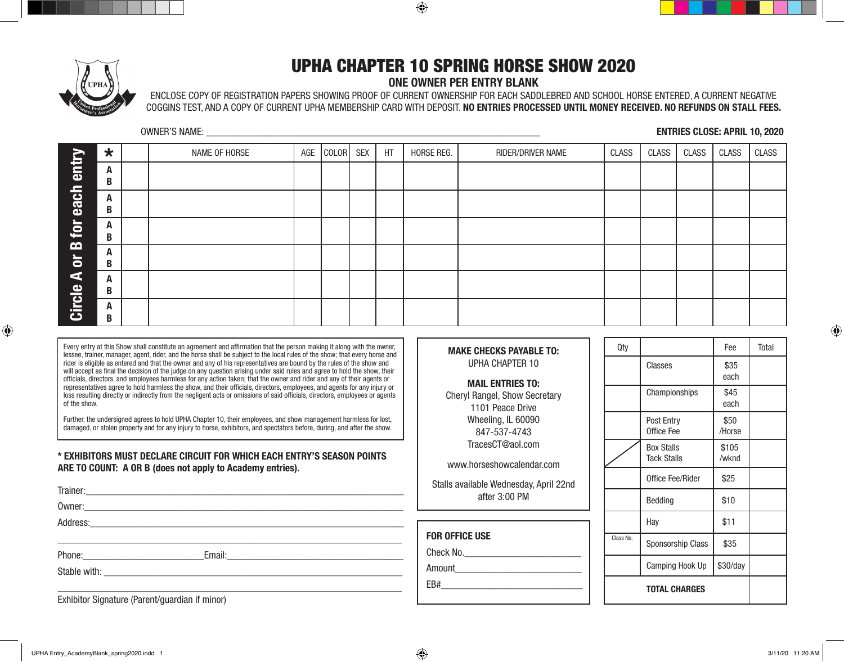⊕



## UPHA CHAPTER 10 SPRING HORSE SHOW 2020

## **ONE OWNER PER ENTRY BLANK**

ENCLOSE COPY OF REGISTRATION PAPERS SHOWING PROOF OF CURRENT OWNERSHIP FOR EACH SADDLEBRED AND SCHOOL HORSE ENTERED, A CURRENT NEGATIVE COGGINS TEST, AND A COPY OF CURRENT UPHA MEMBERSHIP CARD WITH DEPOSIT. **NO ENTRIES PROCESSED UNTIL MONEY RECEIVED. NO REFUNDS ON STALL FEES.**

> **MAKE CHECKS PAYABLE TO:** UPHA CHAPTER 10

**MAIL ENTRIES TO:** Cheryl Rangel, Show Secretary 1101 Peace Drive Wheeling, IL 60090 847-537-4743 TracesCT@aol.com

www.horseshowcalendar.com

OWNER'S NAME: \_\_\_\_\_\_\_\_\_\_\_\_\_\_\_\_\_\_\_\_\_\_\_\_\_\_\_\_\_\_\_\_\_\_\_\_\_\_\_\_\_\_\_\_\_\_\_\_\_\_\_\_\_\_\_\_\_\_\_\_\_\_\_\_\_\_ **ENTRIES CLOSE: APRIL 10, 2020**

|                | $\star$ | NAME OF HORSE | AGE | COLOR SEX | HT | HORSE REG. | RIDER/DRIVER NAME | CLASS | <b>CLASS</b> | CLASS | CLASS | CLASS |
|----------------|---------|---------------|-----|-----------|----|------------|-------------------|-------|--------------|-------|-------|-------|
| entr           | A       |               |     |           |    |            |                   |       |              |       |       |       |
|                | B       |               |     |           |    |            |                   |       |              |       |       |       |
| each           | A       |               |     |           |    |            |                   |       |              |       |       |       |
|                | B       |               |     |           |    |            |                   |       |              |       |       |       |
| $\mathbf{p}$   | A       |               |     |           |    |            |                   |       |              |       |       |       |
| $\mathbf{m}$   | B       |               |     |           |    |            |                   |       |              |       |       |       |
|                | A       |               |     |           |    |            |                   |       |              |       |       |       |
| $\overline{5}$ | B       |               |     |           |    |            |                   |       |              |       |       |       |
| Е              | A       |               |     |           |    |            |                   |       |              |       |       |       |
|                | B       |               |     |           |    |            |                   |       |              |       |       |       |
| Circle         | A       |               |     |           |    |            |                   |       |              |       |       |       |
|                | B       |               |     |           |    |            |                   |       |              |       |       |       |

Every entry at this Show shall constitute an agreement and affirmation that the person making it along with the owner, lessee, trainer, manager, agent, rider, and the horse shall be subject to the local rules of the show; that every horse and rider is eligible as entered and that the owner and any of his representatives are bound by the rules of the show and will accept as final the decision of the judge on any question arising under said rules and agree to hold the show, their officials, directors, and employees harmless for any action taken; that the owner and rider and any of their agents or representatives agree to hold harmless the show, and their officials, directors, employees, and agents for any injury or loss resulting directly or indirectly from the negligent acts or omissions of said officials, directors, employees or agents of the show.

Further, the undersigned agrees to hold UPHA Chapter 10, their employees, and show management harmless for lost, damaged, or stolen property and for any injury to horse, exhibitors, and spectators before, during, and after the show.

## **\* EXHIBITORS MUST DECLARE CIRCUIT FOR WHICH EACH ENTRY'S SEASON POINTS ARE TO COUNT: A OR B (does not apply to Academy entries).**

| Stalls available Wednesday, April 22nd<br>after 3:00 PM                                                         |
|-----------------------------------------------------------------------------------------------------------------|
|                                                                                                                 |
|                                                                                                                 |
| <b>FOR OFFICE USE</b>                                                                                           |
| Check No.                                                                                                       |
| Amount                                                                                                          |
| EB# 2000 and 2000 and 2000 and 2000 and 2000 and 2000 and 2000 and 2000 and 2000 and 2000 and 2000 and 2000 and |
|                                                                                                                 |

| Qty       |                                         | Fee            | <b>Total</b> |
|-----------|-----------------------------------------|----------------|--------------|
|           | Classes                                 | \$35<br>each   |              |
|           | Championships                           | \$45<br>each   |              |
|           | Post Entry<br>Office Fee                | \$50<br>/Horse |              |
|           | <b>Box Stalls</b><br><b>Tack Stalls</b> | \$105<br>/wknd |              |
|           | Office Fee/Rider                        | \$25           |              |
|           | Bedding                                 | \$10           |              |
|           | Hay                                     | \$11           |              |
| Class No. | Sponsorship Class                       | \$35           |              |
|           | Camping Hook Up                         | \$30/day       |              |
|           | <b>TOTAL CHARGES</b>                    |                |              |

Exhibitor Signature (Parent/guardian if minor)